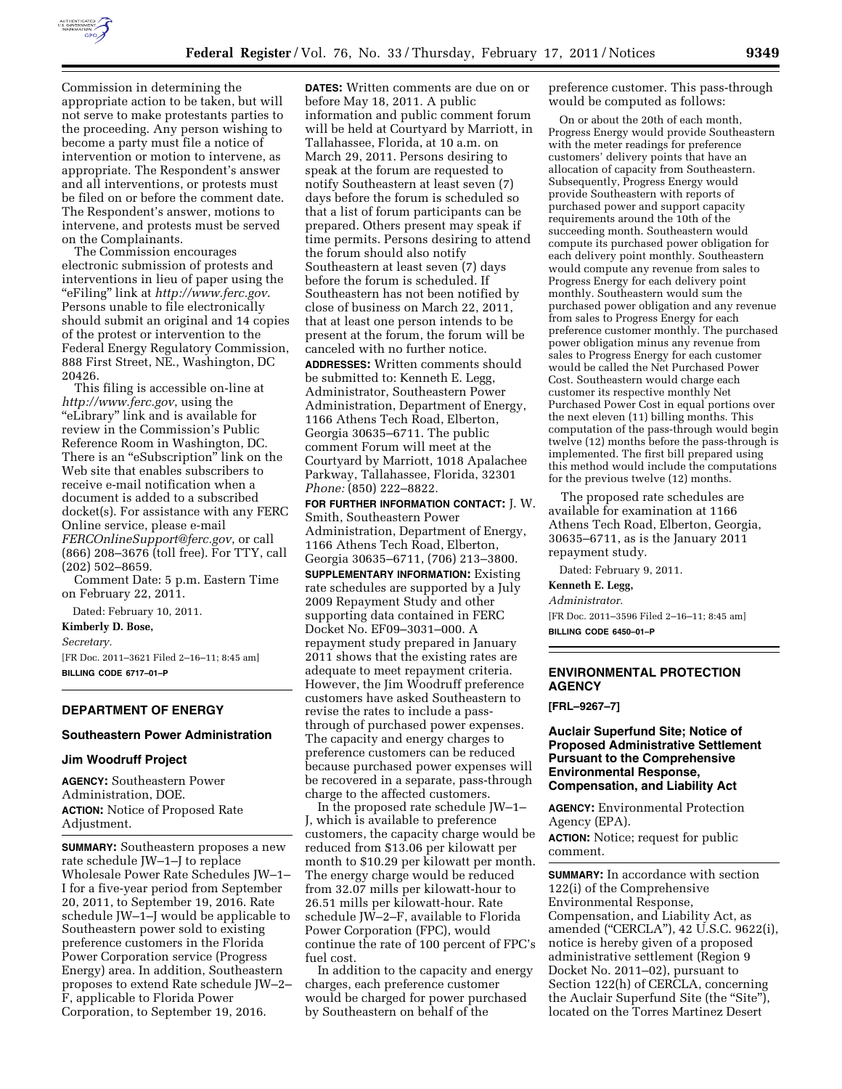

Commission in determining the appropriate action to be taken, but will not serve to make protestants parties to the proceeding. Any person wishing to become a party must file a notice of intervention or motion to intervene, as appropriate. The Respondent's answer and all interventions, or protests must be filed on or before the comment date. The Respondent's answer, motions to intervene, and protests must be served on the Complainants.

The Commission encourages electronic submission of protests and interventions in lieu of paper using the ''eFiling'' link at *<http://www.ferc.gov>*. Persons unable to file electronically should submit an original and 14 copies of the protest or intervention to the Federal Energy Regulatory Commission, 888 First Street, NE., Washington, DC 20426.

This filing is accessible on-line at *<http://www.ferc.gov>*, using the ''eLibrary'' link and is available for review in the Commission's Public Reference Room in Washington, DC. There is an "eSubscription" link on the Web site that enables subscribers to receive e-mail notification when a document is added to a subscribed docket(s). For assistance with any FERC Online service, please e-mail *[FERCOnlineSupport@ferc.gov](mailto:FERCOnlineSupport@ferc.gov)*, or call (866) 208–3676 (toll free). For TTY, call (202) 502–8659.

Comment Date: 5 p.m. Eastern Time on February 22, 2011.

Dated: February 10, 2011.

**Kimberly D. Bose,** 

*Secretary.* 

[FR Doc. 2011–3621 Filed 2–16–11; 8:45 am] **BILLING CODE 6717–01–P** 

### **DEPARTMENT OF ENERGY**

# **Southeastern Power Administration**

# **Jim Woodruff Project**

**AGENCY:** Southeastern Power Administration, DOE. **ACTION:** Notice of Proposed Rate Adjustment.

**SUMMARY:** Southeastern proposes a new rate schedule JW–1–J to replace Wholesale Power Rate Schedules JW–1– I for a five-year period from September 20, 2011, to September 19, 2016. Rate schedule JW–1–J would be applicable to Southeastern power sold to existing preference customers in the Florida Power Corporation service (Progress Energy) area. In addition, Southeastern proposes to extend Rate schedule JW–2– F, applicable to Florida Power Corporation, to September 19, 2016.

**DATES:** Written comments are due on or before May 18, 2011. A public information and public comment forum will be held at Courtyard by Marriott, in Tallahassee, Florida, at 10 a.m. on March 29, 2011. Persons desiring to speak at the forum are requested to notify Southeastern at least seven (7) days before the forum is scheduled so that a list of forum participants can be prepared. Others present may speak if time permits. Persons desiring to attend the forum should also notify Southeastern at least seven (7) days before the forum is scheduled. If Southeastern has not been notified by close of business on March 22, 2011, that at least one person intends to be present at the forum, the forum will be canceled with no further notice. **ADDRESSES:** Written comments should be submitted to: Kenneth E. Legg, Administrator, Southeastern Power Administration, Department of Energy, 1166 Athens Tech Road, Elberton, Georgia 30635–6711. The public comment Forum will meet at the Courtyard by Marriott, 1018 Apalachee Parkway, Tallahassee, Florida, 32301 *Phone:* (850) 222–8822.

**FOR FURTHER INFORMATION CONTACT:** J. W. Smith, Southeastern Power Administration, Department of Energy, 1166 Athens Tech Road, Elberton, Georgia 30635–6711, (706) 213–3800.

**SUPPLEMENTARY INFORMATION:** Existing rate schedules are supported by a July 2009 Repayment Study and other supporting data contained in FERC Docket No. EF09–3031–000. A repayment study prepared in January 2011 shows that the existing rates are adequate to meet repayment criteria. However, the Jim Woodruff preference customers have asked Southeastern to revise the rates to include a passthrough of purchased power expenses. The capacity and energy charges to preference customers can be reduced because purchased power expenses will be recovered in a separate, pass-through charge to the affected customers.

In the proposed rate schedule JW–1– J, which is available to preference customers, the capacity charge would be reduced from \$13.06 per kilowatt per month to \$10.29 per kilowatt per month. The energy charge would be reduced from 32.07 mills per kilowatt-hour to 26.51 mills per kilowatt-hour. Rate schedule JW–2–F, available to Florida Power Corporation (FPC), would continue the rate of 100 percent of FPC's fuel cost.

In addition to the capacity and energy charges, each preference customer would be charged for power purchased by Southeastern on behalf of the

preference customer. This pass-through would be computed as follows:

On or about the 20th of each month, Progress Energy would provide Southeastern with the meter readings for preference customers' delivery points that have an allocation of capacity from Southeastern. Subsequently, Progress Energy would provide Southeastern with reports of purchased power and support capacity requirements around the 10th of the succeeding month. Southeastern would compute its purchased power obligation for each delivery point monthly. Southeastern would compute any revenue from sales to Progress Energy for each delivery point monthly. Southeastern would sum the purchased power obligation and any revenue from sales to Progress Energy for each preference customer monthly. The purchased power obligation minus any revenue from sales to Progress Energy for each customer would be called the Net Purchased Power Cost. Southeastern would charge each customer its respective monthly Net Purchased Power Cost in equal portions over the next eleven (11) billing months. This computation of the pass-through would begin twelve (12) months before the pass-through is implemented. The first bill prepared using this method would include the computations for the previous twelve (12) months.

The proposed rate schedules are available for examination at 1166 Athens Tech Road, Elberton, Georgia, 30635–6711, as is the January 2011 repayment study.

Dated: February 9, 2011.

**Kenneth E. Legg,** 

*Administrator.* 

[FR Doc. 2011–3596 Filed 2–16–11; 8:45 am] **BILLING CODE 6450–01–P** 

## **ENVIRONMENTAL PROTECTION AGENCY**

**[FRL–9267–7]** 

**Auclair Superfund Site; Notice of Proposed Administrative Settlement Pursuant to the Comprehensive Environmental Response, Compensation, and Liability Act** 

**AGENCY:** Environmental Protection Agency (EPA).

**ACTION:** Notice; request for public comment.

**SUMMARY:** In accordance with section 122(i) of the Comprehensive Environmental Response, Compensation, and Liability Act, as amended (''CERCLA''), 42 U.S.C. 9622(i), notice is hereby given of a proposed administrative settlement (Region 9 Docket No. 2011–02), pursuant to Section 122(h) of CERCLA, concerning the Auclair Superfund Site (the "Site"), located on the Torres Martinez Desert